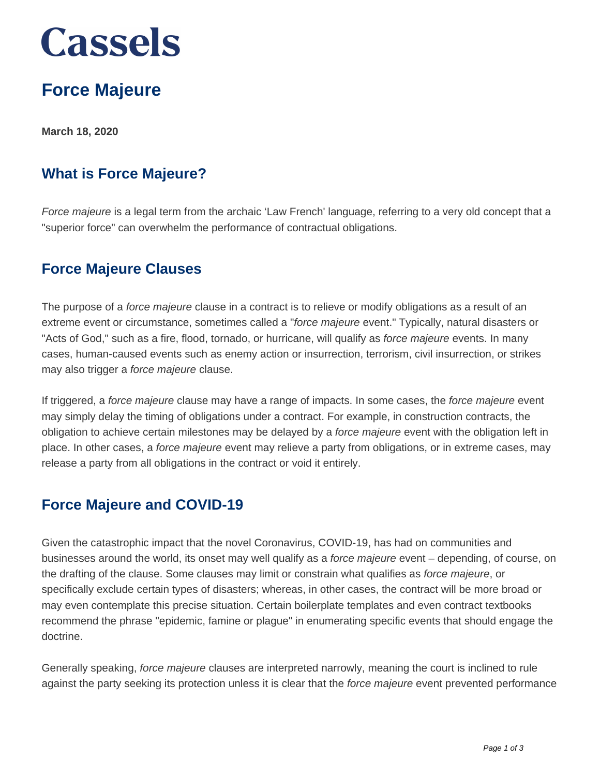## **Cassels**

### **Force Majeure**

**March 18, 2020**

#### **What is Force Majeure?**

Force majeure is a legal term from the archaic 'Law French' language, referring to a very old concept that a "superior force" can overwhelm the performance of contractual obligations.

#### **Force Majeure Clauses**

The purpose of a force majeure clause in a contract is to relieve or modify obligations as a result of an extreme event or circumstance, sometimes called a "force majeure event." Typically, natural disasters or "Acts of God," such as a fire, flood, tornado, or hurricane, will qualify as force majeure events. In many cases, human-caused events such as enemy action or insurrection, terrorism, civil insurrection, or strikes may also trigger a force majeure clause.

If triggered, a force majeure clause may have a range of impacts. In some cases, the force majeure event may simply delay the timing of obligations under a contract. For example, in construction contracts, the obligation to achieve certain milestones may be delayed by a force majeure event with the obligation left in place. In other cases, a force majeure event may relieve a party from obligations, or in extreme cases, may release a party from all obligations in the contract or void it entirely.

#### **Force Majeure and COVID-19**

Given the catastrophic impact that the novel Coronavirus, COVID-19, has had on communities and businesses around the world, its onset may well qualify as a force majeure event – depending, of course, on the drafting of the clause. Some clauses may limit or constrain what qualifies as force majeure, or specifically exclude certain types of disasters; whereas, in other cases, the contract will be more broad or may even contemplate this precise situation. Certain boilerplate templates and even contract textbooks recommend the phrase "epidemic, famine or plague" in enumerating specific events that should engage the doctrine.

Generally speaking, force majeure clauses are interpreted narrowly, meaning the court is inclined to rule against the party seeking its protection unless it is clear that the force majeure event prevented performance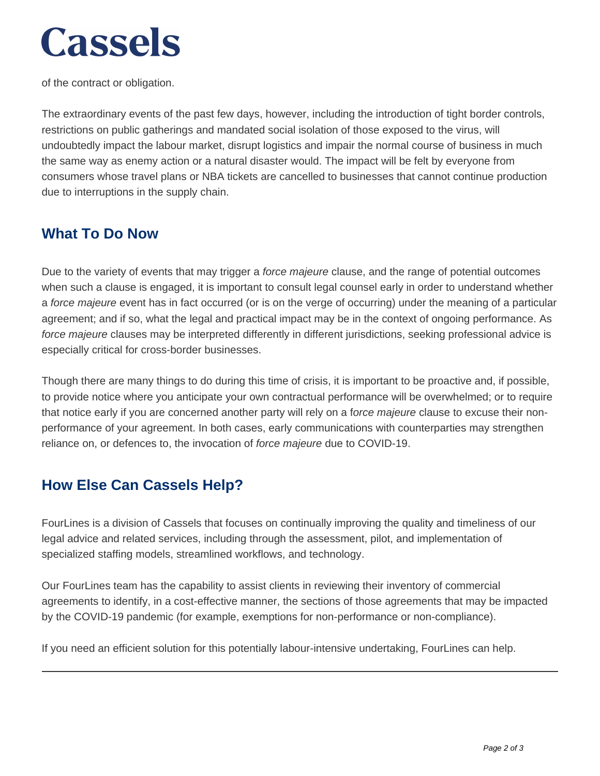# **Cassels**

of the contract or obligation.

The extraordinary events of the past few days, however, including the introduction of tight border controls, restrictions on public gatherings and mandated social isolation of those exposed to the virus, will undoubtedly impact the labour market, disrupt logistics and impair the normal course of business in much the same way as enemy action or a natural disaster would. The impact will be felt by everyone from consumers whose travel plans or NBA tickets are cancelled to businesses that cannot continue production due to interruptions in the supply chain.

#### **What To Do Now**

Due to the variety of events that may trigger a *force majeure* clause, and the range of potential outcomes when such a clause is engaged, it is important to consult legal counsel early in order to understand whether a force majeure event has in fact occurred (or is on the verge of occurring) under the meaning of a particular agreement; and if so, what the legal and practical impact may be in the context of ongoing performance. As force majeure clauses may be interpreted differently in different jurisdictions, seeking professional advice is especially critical for cross-border businesses.

Though there are many things to do during this time of crisis, it is important to be proactive and, if possible, to provide notice where you anticipate your own contractual performance will be overwhelmed; or to require that notice early if you are concerned another party will rely on a force majeure clause to excuse their nonperformance of your agreement. In both cases, early communications with counterparties may strengthen reliance on, or defences to, the invocation of force majeure due to COVID-19.

#### **How Else Can Cassels Help?**

FourLines is a division of Cassels that focuses on continually improving the quality and timeliness of our legal advice and related services, including through the assessment, pilot, and implementation of specialized staffing models, streamlined workflows, and technology.

Our FourLines team has the capability to assist clients in reviewing their inventory of commercial agreements to identify, in a cost-effective manner, the sections of those agreements that may be impacted by the COVID-19 pandemic (for example, exemptions for non-performance or non-compliance).

If you need an efficient solution for this potentially labour-intensive undertaking, FourLines can help.